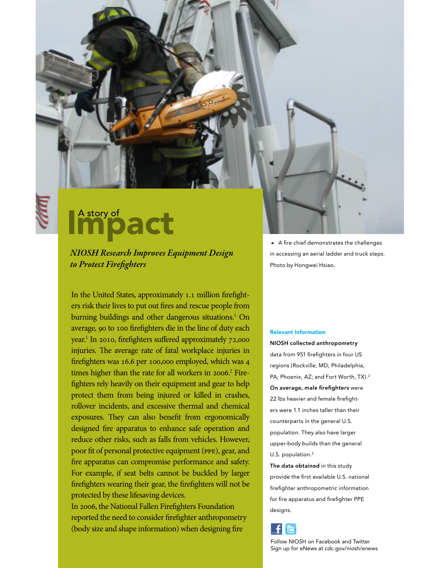## Impact

NIOSH Research Improves Equipment Design to Protect Firefighters

In the United States, approximately 1.1 million firefighters risk their lives to put out fires and rescue people from burning buildings and other dangerous situations.<sup>1</sup> On average, 90 to 100 firefighters die in the line of duty each year.<sup>1</sup> In 2010, firefighters suffered approximately 72,000 injuries. The average rate of fatal workplace injuries in firefighters was 16.6 per 100,000 employed, which was 4 times higher than the rate for all workers in 2006.<sup>2</sup> Firefighters rely heavily on their equipment and gear to help protect them from being injured or killed in crashes, rollover incidents, and excessive thermal and chemical exposures. They can also benefit from ergonomically designed fire apparatus to enhance safe operation and reduce other risks, such as falls from vehicles. However, poor fit of personal protective equipment (PPE), gear, and fire apparatus can compromise performance and safety. For example, if seat belts cannot be buckled by larger firefighters wearing their gear, the firefighters will not be protected by these lifesaving devices.

In 2006, the National Fallen Firefighters Foundation reported the need to consider firefighter anthropometry (body size and shape information) when designing fire

 $\blacktriangle$  A fire chief demonstrates the challenges in accessing an aerial ladder and truck steps. Photo by Hongwei Hsiao.

## Relevant Information

NIOSH collected anthropometry data from 951 firefighters in four US regions (Rockville, MD; Philadelphia, PA; Phoenix, AZ; and Fort Worth, TX).<sup>2</sup> On average, male firefighters were 22 lbs heavier and female firefighters were 1.1 inches taller than their counterparts in the general U.S. population. They also have larger upper-body builds than the general U.S. population.<sup>2</sup>

The data obtained in this study provide the first available U.S. national firefighter anthropometric information for fire apparatus and firefighter PPE designs.



Follow NIOSH on Facebook and Twitter Sign up for eNews at cdc.gov/niosh/enews